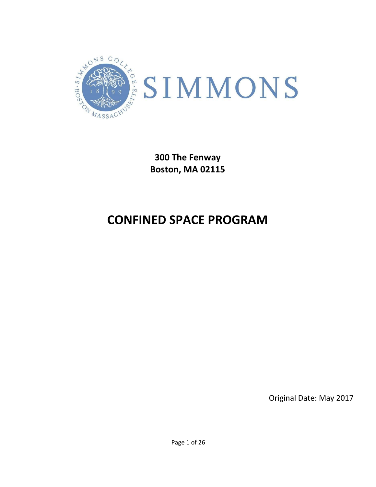

**300 The Fenway Boston, MA 02115**

# **CONFINED SPACE PROGRAM**

Original Date: May 2017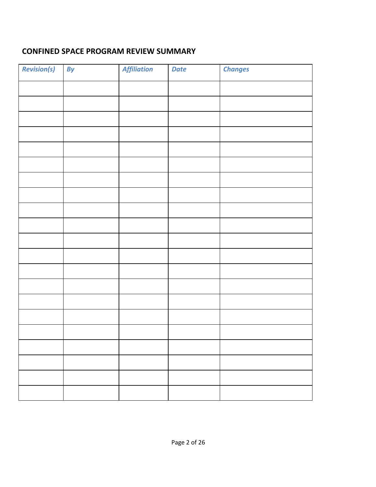# **CONFINED SPACE PROGRAM REVIEW SUMMARY**

| <b>Revision(s)</b> | By | <b>Affiliation</b> | <b>Date</b> | <b>Changes</b> |  |
|--------------------|----|--------------------|-------------|----------------|--|
|                    |    |                    |             |                |  |
|                    |    |                    |             |                |  |
|                    |    |                    |             |                |  |
|                    |    |                    |             |                |  |
|                    |    |                    |             |                |  |
|                    |    |                    |             |                |  |
|                    |    |                    |             |                |  |
|                    |    |                    |             |                |  |
|                    |    |                    |             |                |  |
|                    |    |                    |             |                |  |
|                    |    |                    |             |                |  |
|                    |    |                    |             |                |  |
|                    |    |                    |             |                |  |
|                    |    |                    |             |                |  |
|                    |    |                    |             |                |  |
|                    |    |                    |             |                |  |
|                    |    |                    |             |                |  |
|                    |    |                    |             |                |  |
|                    |    |                    |             |                |  |
|                    |    |                    |             |                |  |
|                    |    |                    |             |                |  |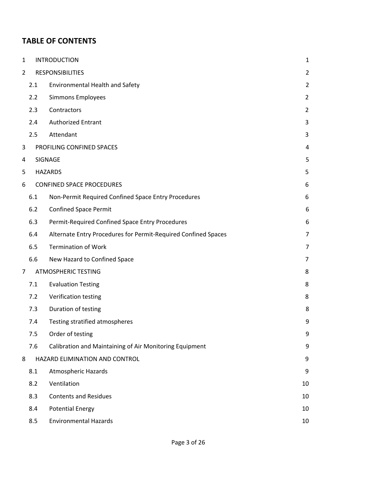# **TABLE OF CONTENTS**

| $\mathbf{1}$   |     | <b>INTRODUCTION</b>                                            | $\mathbf{1}$   |
|----------------|-----|----------------------------------------------------------------|----------------|
| $\overline{2}$ |     | <b>RESPONSIBILITIES</b>                                        | $\overline{2}$ |
|                | 2.1 | Environmental Health and Safety                                | $\overline{2}$ |
|                | 2.2 | <b>Simmons Employees</b>                                       | $\overline{2}$ |
|                | 2.3 | Contractors                                                    | 2              |
|                | 2.4 | <b>Authorized Entrant</b>                                      | 3              |
|                | 2.5 | Attendant                                                      | 3              |
| 3              |     | PROFILING CONFINED SPACES                                      | 4              |
| 4              |     | SIGNAGE                                                        | 5              |
| 5              |     | <b>HAZARDS</b>                                                 | 5              |
| 6              |     | <b>CONFINED SPACE PROCEDURES</b>                               | 6              |
|                | 6.1 | Non-Permit Required Confined Space Entry Procedures            | 6              |
|                | 6.2 | <b>Confined Space Permit</b>                                   | 6              |
|                | 6.3 | Permit-Required Confined Space Entry Procedures                | 6              |
|                | 6.4 | Alternate Entry Procedures for Permit-Required Confined Spaces | 7              |
|                | 6.5 | <b>Termination of Work</b>                                     | $\overline{7}$ |
|                | 6.6 | New Hazard to Confined Space                                   | $\overline{7}$ |
| 7              |     | <b>ATMOSPHERIC TESTING</b>                                     | 8              |
|                | 7.1 | <b>Evaluation Testing</b>                                      | 8              |
|                | 7.2 | Verification testing                                           | 8              |
|                | 7.3 | Duration of testing                                            | 8              |
|                | 7.4 | Testing stratified atmospheres                                 | 9              |
|                | 7.5 | Order of testing                                               | 9              |
|                | 7.6 | Calibration and Maintaining of Air Monitoring Equipment        | 9              |
| 8              |     | HAZARD ELIMINATION AND CONTROL                                 | 9              |
|                | 8.1 | <b>Atmospheric Hazards</b>                                     | 9              |
|                | 8.2 | Ventilation                                                    | 10             |
|                | 8.3 | <b>Contents and Residues</b>                                   | 10             |
|                | 8.4 | <b>Potential Energy</b>                                        | 10             |
|                | 8.5 | <b>Environmental Hazards</b>                                   | 10             |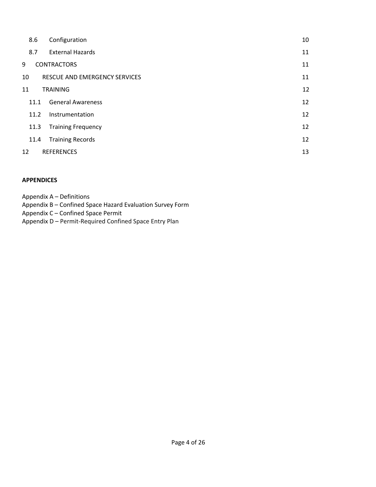| 8.6  | Configuration                        | 10 |
|------|--------------------------------------|----|
| 8.7  | <b>External Hazards</b>              | 11 |
| 9    | <b>CONTRACTORS</b>                   | 11 |
| 10   | <b>RESCUE AND EMERGENCY SERVICES</b> | 11 |
| 11   | <b>TRAINING</b>                      | 12 |
| 11.1 | <b>General Awareness</b>             | 12 |
| 11.2 | Instrumentation                      | 12 |
| 11.3 | <b>Training Frequency</b>            | 12 |
| 11.4 | <b>Training Records</b>              | 12 |
| 12   | <b>REFERENCES</b>                    | 13 |

#### **APPENDICES**

| Appendix A - Definitions |  |
|--------------------------|--|
|--------------------------|--|

- Appendix B Confined Space Hazard Evaluation Survey Form
- Appendix C Confined Space Permit
- Appendix D Permit-Required Confined Space Entry Plan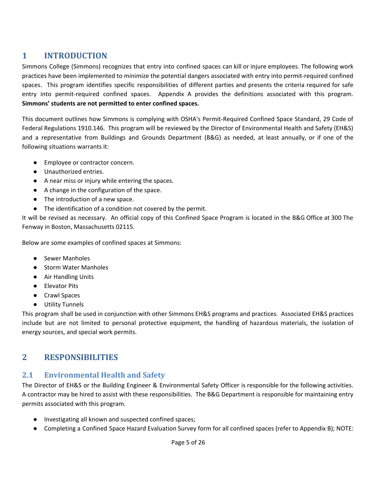# <span id="page-4-0"></span>**1 INTRODUCTION**

Simmons College (Simmons) recognizes that entry into confined spaces can kill or injure employees. The following work practices have been implemented to minimize the potential dangers associated with entry into permit-required confined spaces. This program identifies specific responsibilities of different parties and presents the criteria required for safe entry into permit-required confined spaces. Appendix A provides the definitions associated with this program. **Simmons' students are not permitted to enter confined spaces.**

This document outlines how Simmons is complying with OSHA's Permit-Required Confined Space Standard, 29 Code of Federal Regulations 1910.146. This program will be reviewed by the Director of Environmental Health and Safety (EH&S) and a representative from Buildings and Grounds Department (B&G) as needed, at least annually, or if one of the following situations warrants it:

- Employee or contractor concern.
- Unauthorized entries.
- A near miss or injury while entering the spaces.
- A change in the configuration of the space.
- The introduction of a new space.
- The identification of a condition not covered by the permit.

It will be revised as necessary. An official copy of this Confined Space Program is located in the B&G Office at 300 The Fenway in Boston, Massachusetts 02115.

Below are some examples of confined spaces at Simmons:

- Sewer Manholes
- Storm Water Manholes
- Air Handling Units
- Elevator Pits
- Crawl Spaces
- Utility Tunnels

This program shall be used in conjunction with other Simmons EH&S programs and practices. Associated EH&S practices include but are not limited to personal protective equipment, the handling of hazardous materials, the isolation of energy sources, and special work permits.

# <span id="page-4-1"></span>**2 RESPONSIBILITIES**

#### <span id="page-4-2"></span>**2.1 Environmental Health and Safety**

The Director of EH&S or the Building Engineer & Environmental Safety Officer is responsible for the following activities. A contractor may be hired to assist with these responsibilities. The B&G Department is responsible for maintaining entry permits associated with this program.

- Investigating all known and suspected confined spaces;
- Completing a Confined Space Hazard Evaluation Survey form for all confined spaces (refer to Appendix B); NOTE: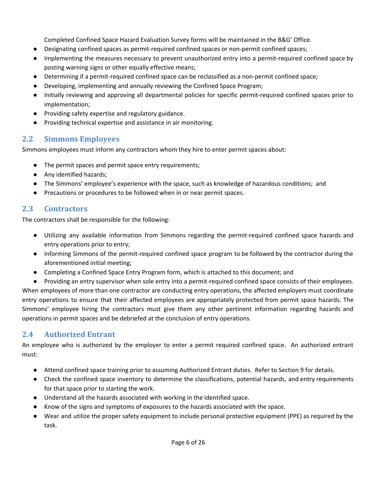Completed Confined Space Hazard Evaluation Survey forms will be maintained in the B&G' Office.

- Designating confined spaces as permit-required confined spaces or non-permit confined spaces;
- Implementing the measures necessary to prevent unauthorized entry into a permit-required confined space by posting warning signs or other equally effective means;
- Determining if a permit-required confined space can be reclassified as a non-permit confined space;
- Developing, implementing and annually reviewing the Confined Space Program;
- Initially reviewing and approving all departmental policies for specific permit-required confined spaces prior to implementation;
- Providing safety expertise and regulatory guidance.
- Providing technical expertise and assistance in air monitoring.

# <span id="page-5-0"></span>**2.2 Simmons Employees**

Simmons employees must inform any contractors whom they hire to enter permit spaces about:

- The permit spaces and permit space entry requirements;
- Any identified hazards;
- The Simmons' employee's experience with the space, such as knowledge of hazardous conditions; and
- Precautions or procedures to be followed when in or near permit spaces.

# <span id="page-5-1"></span>**2.3 Contractors**

The contractors shall be responsible for the following:

- Utilizing any available information from Simmons regarding the permit-required confined space hazards and entry operations prior to entry;
- Informing Simmons of the permit-required confined space program to be followed by the contractor during the aforementioned initial meeting;
- Completing a Confined Space Entry Program form, which is attached to this document; and

● Providing an entry supervisor when sole entry into a permit-required confined space consists of their employees. When employees of more than one contractor are conducting entry operations, the affected employers must coordinate entry operations to ensure that their affected employees are appropriately protected from permit space hazards. The Simmons' employee hiring the contractors must give them any other pertinent information regarding hazards and operations in permit spaces and be debriefed at the conclusion of entry operations.

# <span id="page-5-2"></span>**2.4 Authorized Entrant**

An employee who is authorized by the employer to enter a permit required confined space. An authorized entrant must:

- Attend confined space training prior to assuming Authorized Entrant duties. Refer to Section 9 for details.
- Check the confined space inventory to determine the classifications, potential hazards, and entry requirements for that space prior to starting the work.
- Understand all the hazards associated with working in the identified space.
- Know of the signs and symptoms of exposures to the hazards associated with the space.
- Wear and utilize the proper safety equipment to include personal protective equipment (PPE) as required by the task.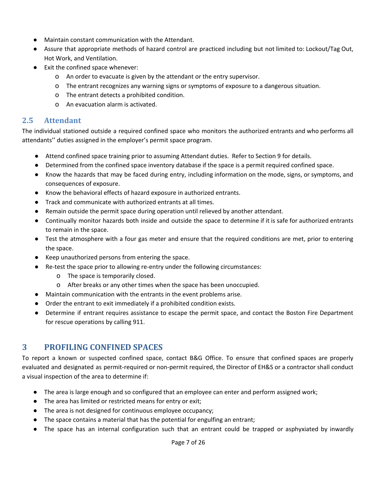- Maintain constant communication with the Attendant.
- Assure that appropriate methods of hazard control are practiced including but not limited to: Lockout/Tag Out, Hot Work, and Ventilation.
- Exit the confined space whenever:
	- o An order to evacuate is given by the attendant or the entry supervisor.
	- o The entrant recognizes any warning signs or symptoms of exposure to a dangerous situation.
	- o The entrant detects a prohibited condition.
	- o An evacuation alarm is activated.

#### <span id="page-6-0"></span>**2.5 Attendant**

The individual stationed outside a required confined space who monitors the authorized entrants and who performs all attendants'' duties assigned in the employer's permit space program.

- Attend confined space training prior to assuming Attendant duties. Refer to Section 9 for details.
- Determined from the confined space inventory database if the space is a permit required confined space.
- Know the hazards that may be faced during entry, including information on the mode, signs, or symptoms, and consequences of exposure.
- Know the behavioral effects of hazard exposure in authorized entrants.
- Track and communicate with authorized entrants at all times.
- Remain outside the permit space during operation until relieved by another attendant.
- Continually monitor hazards both inside and outside the space to determine if it is safe for authorized entrants to remain in the space.
- Test the atmosphere with a four gas meter and ensure that the required conditions are met, prior to entering the space.
- Keep unauthorized persons from entering the space.
- Re-test the space prior to allowing re-entry under the following circumstances:
	- o The space is temporarily closed.
	- o After breaks or any other times when the space has been unoccupied.
- Maintain communication with the entrants in the event problems arise.
- Order the entrant to exit immediately if a prohibited condition exists.
- Determine if entrant requires assistance to escape the permit space, and contact the Boston Fire Department for rescue operations by calling 911.

### <span id="page-6-1"></span>**3 PROFILING CONFINED SPACES**

To report a known or suspected confined space, contact B&G Office. To ensure that confined spaces are properly evaluated and designated as permit-required or non-permit required, the Director of EH&S or a contractor shall conduct a visual inspection of the area to determine if:

- The area is large enough and so configured that an employee can enter and perform assigned work;
- The area has limited or restricted means for entry or exit;
- The area is not designed for continuous employee occupancy;
- The space contains a material that has the potential for engulfing an entrant;
- The space has an internal configuration such that an entrant could be trapped or asphyxiated by inwardly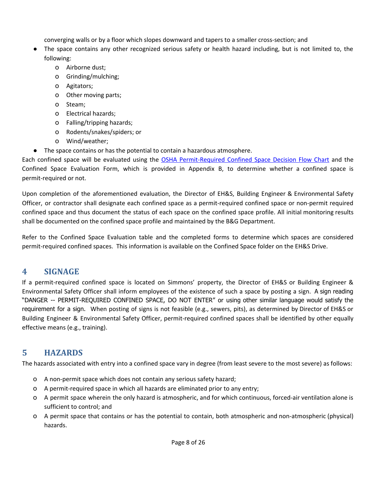converging walls or by a floor which slopes downward and tapers to a smaller cross-section; and

- The space contains any other recognized serious safety or health hazard including, but is not limited to, the following:
	- o Airborne dust;
	- o Grinding/mulching;
	- o Agitators;
	- o Other moving parts;
	- o Steam;
	- o Electrical hazards;
	- o Falling/tripping hazards;
	- o Rodents/snakes/spiders; or
	- o Wind/weather;
- The space contains or has the potential to contain a hazardous atmosphere.

Each confined space will be evaluated using the OSHA [Permit-Required](https://www.osha.gov/pls/oshaweb/owadisp.show_document?p_table=STANDARDS&p_id=9798) Confined Space Decision Flow Chart and the Confined Space Evaluation Form, which is provided in Appendix B, to determine whether a confined space is permit-required or not.

Upon completion of the aforementioned evaluation, the Director of EH&S, Building Engineer & Environmental Safety Officer, or contractor shall designate each confined space as a permit-required confined space or non-permit required confined space and thus document the status of each space on the confined space profile. All initial monitoring results shall be documented on the confined space profile and maintained by the B&G Department.

Refer to the Confined Space Evaluation table and the completed forms to determine which spaces are considered permit-required confined spaces. This information is available on the Confined Space folder on the EH&S Drive.

# <span id="page-7-0"></span>**4 SIGNAGE**

If a permit-required confined space is located on Simmons' property, the Director of EH&S or Building Engineer & Environmental Safety Officer shall inform employees of the existence of such a space by posting a sign. A sign reading "DANGER -- PERMIT-REQUIRED CONFINED SPACE, DO NOT ENTER" or using other similar language would satisfy the requirement for a sign. When posting of signs is not feasible (e.g., sewers, pits), as determined by Director of EH&S or Building Engineer & Environmental Safety Officer, permit-required confined spaces shall be identified by other equally effective means (e.g., training).

# <span id="page-7-1"></span>**5 HAZARDS**

The hazards associated with entry into a confined space vary in degree (from least severe to the most severe) as follows:

- o A non-permit space which does not contain any serious safety hazard;
- o A permit-required space in which all hazards are eliminated prior to any entry;
- o A permit space wherein the only hazard is atmospheric, and for which continuous, forced-air ventilation alone is sufficient to control; and
- o A permit space that contains or has the potential to contain, both atmospheric and non-atmospheric (physical) hazards.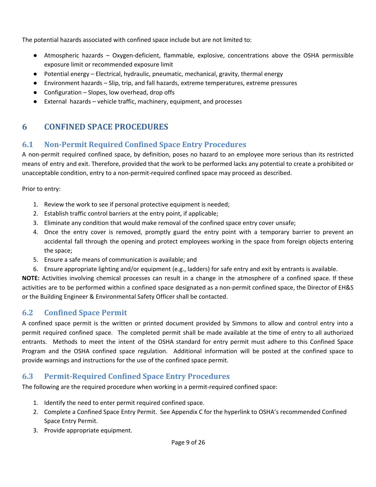The potential hazards associated with confined space include but are not limited to:

- Atmospheric hazards Oxygen-deficient, flammable, explosive, concentrations above the OSHA permissible exposure limit or recommended exposure limit
- Potential energy Electrical, hydraulic, pneumatic, mechanical, gravity, thermal energy
- Environment hazards Slip, trip, and fall hazards, extreme temperatures, extreme pressures
- Configuration Slopes, low overhead, drop offs
- External hazards vehicle traffic, machinery, equipment, and processes

# <span id="page-8-0"></span>**6 CONFINED SPACE PROCEDURES**

# <span id="page-8-1"></span>**6.1 Non-Permit Required Confined Space Entry Procedures**

A non-permit required confined space, by definition, poses no hazard to an employee more serious than its restricted means of entry and exit. Therefore, provided that the work to be performed lacks any potential to create a prohibited or unacceptable condition, entry to a non-permit-required confined space may proceed as described.

Prior to entry:

- 1. Review the work to see if personal protective equipment is needed;
- 2. Establish traffic control barriers at the entry point, if applicable;
- 3. Eliminate any condition that would make removal of the confined space entry cover unsafe;
- 4. Once the entry cover is removed, promptly guard the entry point with a temporary barrier to prevent an accidental fall through the opening and protect employees working in the space from foreign objects entering the space;
- 5. Ensure a safe means of communication is available; and
- 6. Ensure appropriate lighting and/or equipment (e.g., ladders) for safe entry and exit by entrants is available.

**NOTE:** Activities involving chemical processes can result in a change in the atmosphere of a confined space. If these activities are to be performed within a confined space designated as a non-permit confined space, the Director of EH&S or the Building Engineer & Environmental Safety Officer shall be contacted.

### <span id="page-8-2"></span>**6.2 Confined Space Permit**

A confined space permit is the written or printed document provided by Simmons to allow and control entry into a permit required confined space. The completed permit shall be made available at the time of entry to all authorized entrants. Methods to meet the intent of the OSHA standard for entry permit must adhere to this Confined Space Program and the OSHA confined space regulation. Additional information will be posted at the confined space to provide warnings and instructions for the use of the confined space permit.

# <span id="page-8-3"></span>**6.3 Permit-Required Confined Space Entry Procedures**

The following are the required procedure when working in a permit-required confined space:

- 1. Identify the need to enter permit required confined space.
- 2. Complete a Confined Space Entry Permit. See Appendix C for the hyperlink to OSHA's recommended Confined Space Entry Permit.
- 3. Provide appropriate equipment.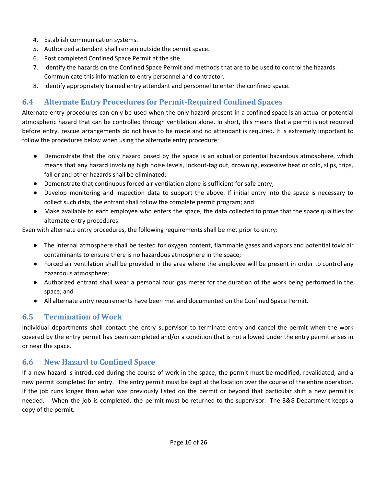- 4. Establish communication systems.
- 5. Authorized attendant shall remain outside the permit space.
- 6. Post completed Confined Space Permit at the site.
- 7. Identify the hazards on the Confined Space Permit and methods that are to be used to control the hazards. Communicate this information to entry personnel and contractor.
- 8. Identify appropriately trained entry attendant and personnel to enter the confined space.

# <span id="page-9-0"></span>**6.4 Alternate Entry Procedures for Permit-Required Confined Spaces**

Alternate entry procedures can only be used when the only hazard present in a confined space is an actual or potential atmospheric hazard that can be controlled through ventilation alone. In short, this means that a permit is not required before entry, rescue arrangements do not have to be made and no attendant is required. It is extremely important to follow the procedures below when using the alternate entry procedure:

- Demonstrate that the only hazard posed by the space is an actual or potential hazardous atmosphere, which means that any hazard involving high noise levels, lockout-tag out, drowning, excessive heat or cold, slips, trips, fall or and other hazards shall be eliminated;
- Demonstrate that continuous forced air ventilation alone is sufficient for safe entry;
- Develop monitoring and inspection data to support the above. If initial entry into the space is necessary to collect such data, the entrant shall follow the complete permit program; and
- Make available to each employee who enters the space, the data collected to prove that the space qualifies for alternate entry procedures.

Even with alternate entry procedures, the following requirements shall be met prior to entry:

- The internal atmosphere shall be tested for oxygen content, flammable gases and vapors and potential toxic air contaminants to ensure there is no hazardous atmosphere in the space;
- Forced air ventilation shall be provided in the area where the employee will be present in order to control any hazardous atmosphere;
- Authorized entrant shall wear a personal four gas meter for the duration of the work being performed in the space; and
- All alternate entry requirements have been met and documented on the Confined Space Permit.

# <span id="page-9-1"></span>**6.5 Termination of Work**

Individual departments shall contact the entry supervisor to terminate entry and cancel the permit when the work covered by the entry permit has been completed and/or a condition that is not allowed under the entry permit arises in or near the space.

# <span id="page-9-2"></span>**6.6 New Hazard to Confined Space**

If a new hazard is introduced during the course of work in the space, the permit must be modified, revalidated, and a new permit completed for entry. The entry permit must be kept at the location over the course of the entire operation. If the job runs longer than what was previously listed on the permit or beyond that particular shift a new permit is needed. When the job is completed, the permit must be returned to the supervisor. The B&G Department keeps a copy of the permit.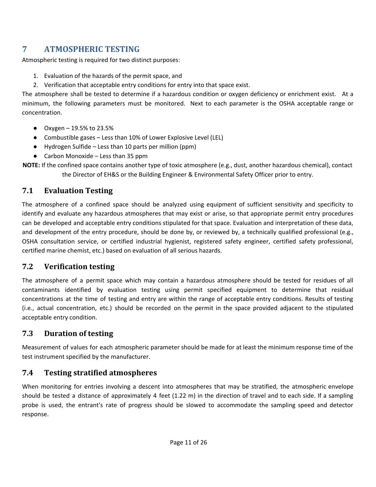# <span id="page-10-0"></span>**7 ATMOSPHERIC TESTING**

Atmospheric testing is required for two distinct purposes:

- 1. Evaluation of the hazards of the permit space, and
- 2. Verification that acceptable entry conditions for entry into that space exist.

The atmosphere shall be tested to determine if a hazardous condition or oxygen deficiency or enrichment exist. At a minimum, the following parameters must be monitored. Next to each parameter is the OSHA acceptable range or concentration.

- $\bullet$  Oxygen 19.5% to 23.5%
- Combustible gases Less than 10% of Lower Explosive Level (LEL)
- Hydrogen Sulfide Less than 10 parts per million (ppm)
- Carbon Monoxide Less than 35 ppm

**NOTE:** If the confined space contains another type of toxic atmosphere (e.g., dust, another hazardous chemical), contact the Director of EH&S or the Building Engineer & Environmental Safety Officer prior to entry.

# <span id="page-10-1"></span>**7.1 Evaluation Testing**

The atmosphere of a confined space should be analyzed using equipment of sufficient sensitivity and specificity to identify and evaluate any hazardous atmospheres that may exist or arise, so that appropriate permit entry procedures can be developed and acceptable entry conditions stipulated for that space. Evaluation and interpretation of these data, and development of the entry procedure, should be done by, or reviewed by, a technically qualified professional (e.g., OSHA consultation service, or certified industrial hygienist, registered safety engineer, certified safety professional, certified marine chemist, etc.) based on evaluation of all serious hazards.

# <span id="page-10-2"></span>**7.2 Verification testing**

The atmosphere of a permit space which may contain a hazardous atmosphere should be tested for residues of all contaminants identified by evaluation testing using permit specified equipment to determine that residual concentrations at the time of testing and entry are within the range of acceptable entry conditions. Results of testing (i.e., actual concentration, etc.) should be recorded on the permit in the space provided adjacent to the stipulated acceptable entry condition.

# <span id="page-10-3"></span>**7.3 Duration of testing**

Measurement of values for each atmospheric parameter should be made for at least the minimum response time of the test instrument specified by the manufacturer.

# <span id="page-10-4"></span>**7.4 Testing stratified atmospheres**

When monitoring for entries involving a descent into atmospheres that may be stratified, the atmospheric envelope should be tested a distance of approximately 4 feet (1.22 m) in the direction of travel and to each side. If a sampling probe is used, the entrant's rate of progress should be slowed to accommodate the sampling speed and detector response.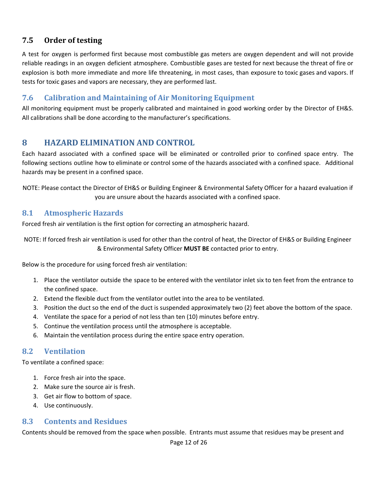# <span id="page-11-0"></span>**7.5 Order of testing**

A test for oxygen is performed first because most combustible gas meters are oxygen dependent and will not provide reliable readings in an oxygen deficient atmosphere. Combustible gases are tested for next because the threat of fire or explosion is both more immediate and more life threatening, in most cases, than exposure to toxic gases and vapors. If tests for toxic gases and vapors are necessary, they are performed last.

### <span id="page-11-1"></span>**7.6 Calibration and Maintaining of Air Monitoring Equipment**

All monitoring equipment must be properly calibrated and maintained in good working order by the Director of EH&S. All calibrations shall be done according to the manufacturer's specifications.

# <span id="page-11-2"></span>**8 HAZARD ELIMINATION AND CONTROL**

Each hazard associated with a confined space will be eliminated or controlled prior to confined space entry. The following sections outline how to eliminate or control some of the hazards associated with a confined space. Additional hazards may be present in a confined space.

NOTE: Please contact the Director of EH&S or Building Engineer & Environmental Safety Officer for a hazard evaluation if you are unsure about the hazards associated with a confined space.

#### <span id="page-11-3"></span>**8.1 Atmospheric Hazards**

Forced fresh air ventilation is the first option for correcting an atmospheric hazard.

NOTE: If forced fresh air ventilation is used for other than the control of heat, the Director of EH&S or Building Engineer & Environmental Safety Officer **MUST BE** contacted prior to entry.

Below is the procedure for using forced fresh air ventilation:

- 1. Place the ventilator outside the space to be entered with the ventilator inlet six to ten feet from the entrance to the confined space.
- 2. Extend the flexible duct from the ventilator outlet into the area to be ventilated.
- 3. Position the duct so the end of the duct is suspended approximately two (2) feet above the bottom of the space.
- 4. Ventilate the space for a period of not less than ten (10) minutes before entry.
- 5. Continue the ventilation process until the atmosphere is acceptable.
- 6. Maintain the ventilation process during the entire space entry operation.

#### <span id="page-11-4"></span>**8.2 Ventilation**

To ventilate a confined space:

- 1. Force fresh air into the space.
- 2. Make sure the source air is fresh.
- 3. Get air flow to bottom of space.
- 4. Use continuously.

#### <span id="page-11-5"></span>**8.3 Contents and Residues**

Contents should be removed from the space when possible. Entrants must assume that residues may be present and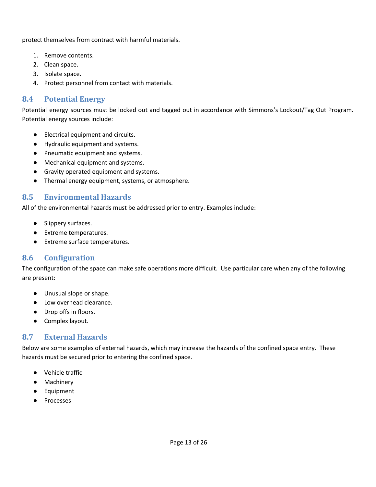protect themselves from contract with harmful materials.

- 1. Remove contents.
- 2. Clean space.
- 3. Isolate space.
- 4. Protect personnel from contact with materials.

#### <span id="page-12-0"></span>**8.4 Potential Energy**

Potential energy sources must be locked out and tagged out in accordance with Simmons's Lockout/Tag Out Program. Potential energy sources include:

- Electrical equipment and circuits.
- Hydraulic equipment and systems.
- Pneumatic equipment and systems.
- Mechanical equipment and systems.
- Gravity operated equipment and systems.
- Thermal energy equipment, systems, or atmosphere.

#### <span id="page-12-1"></span>**8.5 Environmental Hazards**

All of the environmental hazards must be addressed prior to entry. Examples include:

- Slippery surfaces.
- Extreme temperatures.
- Extreme surface temperatures.

#### <span id="page-12-2"></span>**8.6 Configuration**

The configuration of the space can make safe operations more difficult. Use particular care when any of the following are present:

- Unusual slope or shape.
- Low overhead clearance.
- Drop offs in floors.
- Complex layout.

### <span id="page-12-3"></span>**8.7 External Hazards**

Below are some examples of external hazards, which may increase the hazards of the confined space entry. These hazards must be secured prior to entering the confined space.

- Vehicle traffic
- Machinery
- Equipment
- Processes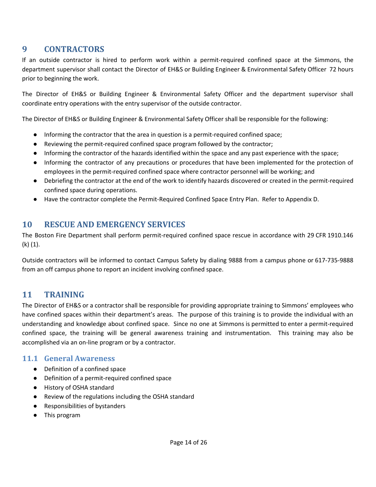# <span id="page-13-0"></span>**9 CONTRACTORS**

If an outside contractor is hired to perform work within a permit-required confined space at the Simmons, the department supervisor shall contact the Director of EH&S or Building Engineer & Environmental Safety Officer 72 hours prior to beginning the work.

The Director of EH&S or Building Engineer & Environmental Safety Officer and the department supervisor shall coordinate entry operations with the entry supervisor of the outside contractor.

The Director of EH&S or Building Engineer & Environmental Safety Officer shall be responsible for the following:

- Informing the contractor that the area in question is a permit-required confined space;
- Reviewing the permit-required confined space program followed by the contractor;
- Informing the contractor of the hazards identified within the space and any past experience with the space;
- Informing the contractor of any precautions or procedures that have been implemented for the protection of employees in the permit-required confined space where contractor personnel will be working; and
- Debriefing the contractor at the end of the work to identify hazards discovered or created in the permit-required confined space during operations.
- Have the contractor complete the Permit-Required Confined Space Entry Plan. Refer to Appendix D.

### <span id="page-13-1"></span>**10 RESCUE AND EMERGENCY SERVICES**

The Boston Fire Department shall perform permit-required confined space rescue in accordance with 29 CFR 1910.146 (k) (1).

Outside contractors will be informed to contact Campus Safety by dialing 9888 from a campus phone or 617-735-9888 from an off campus phone to report an incident involving confined space.

### <span id="page-13-2"></span>**11 TRAINING**

The Director of EH&S or a contractor shall be responsible for providing appropriate training to Simmons' employees who have confined spaces within their department's areas. The purpose of this training is to provide the individual with an understanding and knowledge about confined space. Since no one at Simmons is permitted to enter a permit-required confined space, the training will be general awareness training and instrumentation. This training may also be accomplished via an on-line program or by a contractor.

#### <span id="page-13-3"></span>**11.1 General Awareness**

- Definition of a confined space
- Definition of a permit-required confined space
- History of OSHA standard
- Review of the regulations including the OSHA standard
- Responsibilities of bystanders
- This program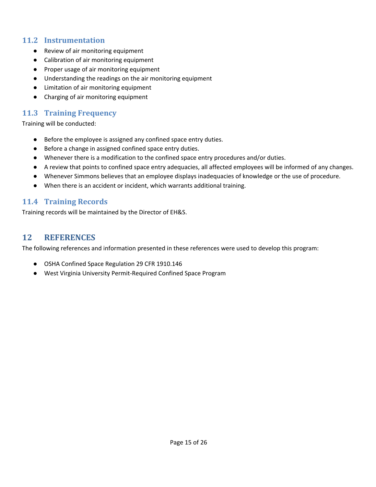#### <span id="page-14-0"></span>**11.2 Instrumentation**

- Review of air monitoring equipment
- Calibration of air monitoring equipment
- Proper usage of air monitoring equipment
- Understanding the readings on the air monitoring equipment
- Limitation of air monitoring equipment
- Charging of air monitoring equipment

### <span id="page-14-1"></span>**11.3 Training Frequency**

Training will be conducted:

- Before the employee is assigned any confined space entry duties.
- Before a change in assigned confined space entry duties.
- Whenever there is a modification to the confined space entry procedures and/or duties.
- A review that points to confined space entry adequacies, all affected employees will be informed of any changes.
- Whenever Simmons believes that an employee displays inadequacies of knowledge or the use of procedure.
- When there is an accident or incident, which warrants additional training.

#### <span id="page-14-2"></span>**11.4 Training Records**

Training records will be maintained by the Director of EH&S.

### <span id="page-14-3"></span>**12 REFERENCES**

The following references and information presented in these references were used to develop this program:

- OSHA Confined Space Regulation 29 CFR 1910.146
- West Virginia University Permit-Required Confined Space Program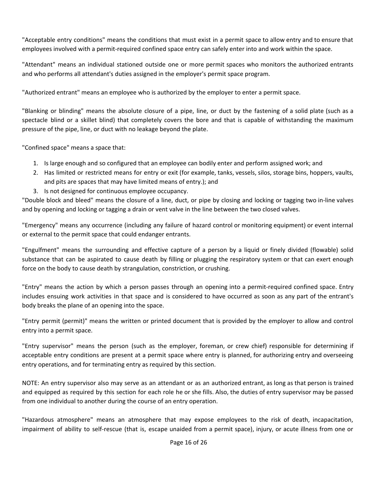"Acceptable entry conditions" means the conditions that must exist in a permit space to allow entry and to ensure that employees involved with a permit-required confined space entry can safely enter into and work within the space.

"Attendant" means an individual stationed outside one or more permit spaces who monitors the authorized entrants and who performs all attendant's duties assigned in the employer's permit space program.

"Authorized entrant" means an employee who is authorized by the employer to enter a permit space.

"Blanking or blinding" means the absolute closure of a pipe, line, or duct by the fastening of a solid plate (such as a spectacle blind or a skillet blind) that completely covers the bore and that is capable of withstanding the maximum pressure of the pipe, line, or duct with no leakage beyond the plate.

"Confined space" means a space that:

- 1. Is large enough and so configured that an employee can bodily enter and perform assigned work; and
- 2. Has limited or restricted means for entry or exit (for example, tanks, vessels, silos, storage bins, hoppers, vaults, and pits are spaces that may have limited means of entry.); and
- 3. Is not designed for continuous employee occupancy.

"Double block and bleed" means the closure of a line, duct, or pipe by closing and locking or tagging two in-line valves and by opening and locking or tagging a drain or vent valve in the line between the two closed valves.

"Emergency" means any occurrence (including any failure of hazard control or monitoring equipment) or event internal or external to the permit space that could endanger entrants.

"Engulfment" means the surrounding and effective capture of a person by a liquid or finely divided (flowable) solid substance that can be aspirated to cause death by filling or plugging the respiratory system or that can exert enough force on the body to cause death by strangulation, constriction, or crushing.

"Entry" means the action by which a person passes through an opening into a permit-required confined space. Entry includes ensuing work activities in that space and is considered to have occurred as soon as any part of the entrant's body breaks the plane of an opening into the space.

"Entry permit (permit)" means the written or printed document that is provided by the employer to allow and control entry into a permit space.

"Entry supervisor" means the person (such as the employer, foreman, or crew chief) responsible for determining if acceptable entry conditions are present at a permit space where entry is planned, for authorizing entry and overseeing entry operations, and for terminating entry as required by this section.

NOTE: An entry supervisor also may serve as an attendant or as an authorized entrant, as long as that person is trained and equipped as required by this section for each role he or she fills. Also, the duties of entry supervisor may be passed from one individual to another during the course of an entry operation.

"Hazardous atmosphere" means an atmosphere that may expose employees to the risk of death, incapacitation, impairment of ability to self-rescue (that is, escape unaided from a permit space), injury, or acute illness from one or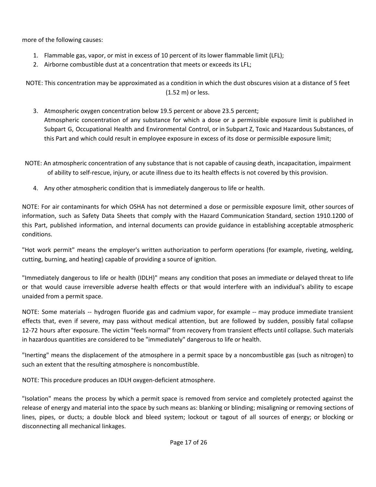more of the following causes:

- 1. Flammable gas, vapor, or mist in excess of 10 percent of its lower flammable limit (LFL);
- 2. Airborne combustible dust at a concentration that meets or exceeds its LFL;

NOTE: This concentration may be approximated as a condition in which the dust obscures vision at a distance of 5 feet (1.52 m) or less.

- 3. Atmospheric oxygen concentration below 19.5 percent or above 23.5 percent; Atmospheric concentration of any substance for which a dose or a permissible exposure limit is published in Subpart G, Occupational Health and Environmental Control, or in Subpart Z, Toxic and Hazardous Substances, of this Part and which could result in employee exposure in excess of its dose or permissible exposure limit;
- NOTE: An atmospheric concentration of any substance that is not capable of causing death, incapacitation, impairment of ability to self-rescue, injury, or acute illness due to its health effects is not covered by this provision.
	- 4. Any other atmospheric condition that is immediately dangerous to life or health.

NOTE: For air contaminants for which OSHA has not determined a dose or permissible exposure limit, other sources of information, such as Safety Data Sheets that comply with the Hazard Communication Standard, section 1910.1200 of this Part, published information, and internal documents can provide guidance in establishing acceptable atmospheric conditions.

"Hot work permit" means the employer's written authorization to perform operations (for example, riveting, welding, cutting, burning, and heating) capable of providing a source of ignition.

"Immediately dangerous to life or health (IDLH)" means any condition that poses an immediate or delayed threat to life or that would cause irreversible adverse health effects or that would interfere with an individual's ability to escape unaided from a permit space.

NOTE: Some materials -- hydrogen fluoride gas and cadmium vapor, for example -- may produce immediate transient effects that, even if severe, may pass without medical attention, but are followed by sudden, possibly fatal collapse 12-72 hours after exposure. The victim "feels normal" from recovery from transient effects until collapse. Such materials in hazardous quantities are considered to be "immediately" dangerous to life or health.

"Inerting" means the displacement of the atmosphere in a permit space by a noncombustible gas (such as nitrogen) to such an extent that the resulting atmosphere is noncombustible.

NOTE: This procedure produces an IDLH oxygen-deficient atmosphere.

"Isolation" means the process by which a permit space is removed from service and completely protected against the release of energy and material into the space by such means as: blanking or blinding; misaligning or removing sections of lines, pipes, or ducts; a double block and bleed system; lockout or tagout of all sources of energy; or blocking or disconnecting all mechanical linkages.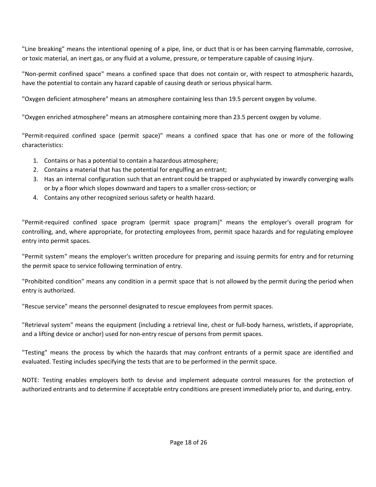"Line breaking" means the intentional opening of a pipe, line, or duct that is or has been carrying flammable, corrosive, or toxic material, an inert gas, or any fluid at a volume, pressure, or temperature capable of causing injury.

"Non-permit confined space" means a confined space that does not contain or, with respect to atmospheric hazards, have the potential to contain any hazard capable of causing death or serious physical harm.

"Oxygen deficient atmosphere" means an atmosphere containing less than 19.5 percent oxygen by volume.

"Oxygen enriched atmosphere" means an atmosphere containing more than 23.5 percent oxygen by volume.

"Permit-required confined space (permit space)" means a confined space that has one or more of the following characteristics:

- 1. Contains or has a potential to contain a hazardous atmosphere;
- 2. Contains a material that has the potential for engulfing an entrant;
- 3. Has an internal configuration such that an entrant could be trapped or asphyxiated by inwardly converging walls or by a floor which slopes downward and tapers to a smaller cross-section; or
- 4. Contains any other recognized serious safety or health hazard.

"Permit-required confined space program (permit space program)" means the employer's overall program for controlling, and, where appropriate, for protecting employees from, permit space hazards and for regulating employee entry into permit spaces.

"Permit system" means the employer's written procedure for preparing and issuing permits for entry and for returning the permit space to service following termination of entry.

"Prohibited condition" means any condition in a permit space that is not allowed by the permit during the period when entry is authorized.

"Rescue service" means the personnel designated to rescue employees from permit spaces.

"Retrieval system" means the equipment (including a retrieval line, chest or full-body harness, wristlets, if appropriate, and a lifting device or anchor) used for non-entry rescue of persons from permit spaces.

"Testing" means the process by which the hazards that may confront entrants of a permit space are identified and evaluated. Testing includes specifying the tests that are to be performed in the permit space.

NOTE: Testing enables employers both to devise and implement adequate control measures for the protection of authorized entrants and to determine if acceptable entry conditions are present immediately prior to, and during, entry.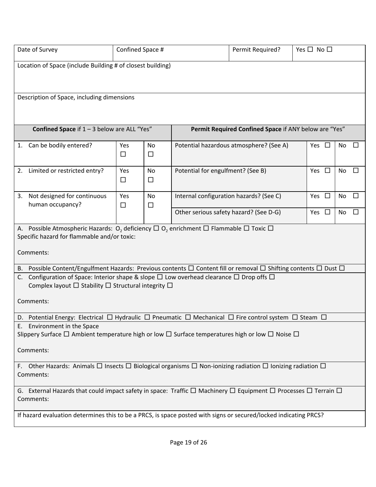| Date of Survey                                                                                                                                                                   | Confined Space # |              |                                   | Permit Required?                                      | Yes $\square$ No $\square$ |               |                     |
|----------------------------------------------------------------------------------------------------------------------------------------------------------------------------------|------------------|--------------|-----------------------------------|-------------------------------------------------------|----------------------------|---------------|---------------------|
| Location of Space (include Building # of closest building)                                                                                                                       |                  |              |                                   |                                                       |                            |               |                     |
|                                                                                                                                                                                  |                  |              |                                   |                                                       |                            |               |                     |
| Description of Space, including dimensions                                                                                                                                       |                  |              |                                   |                                                       |                            |               |                     |
|                                                                                                                                                                                  |                  |              |                                   |                                                       |                            |               |                     |
| Confined Space if $1 - 3$ below are ALL "Yes"                                                                                                                                    |                  |              |                                   | Permit Required Confined Space if ANY below are "Yes" |                            |               |                     |
| Can be bodily entered?<br>1.                                                                                                                                                     | Yes<br>□         | No<br>$\Box$ |                                   | Potential hazardous atmosphere? (See A)               |                            | Yes $\square$ | No                  |
| Limited or restricted entry?<br>2.                                                                                                                                               | Yes<br>□         | No<br>$\Box$ | Potential for engulfment? (See B) |                                                       |                            | Yes $\square$ | <b>No</b><br>$\Box$ |
| Not designed for continuous<br>3.<br>human occupancy?                                                                                                                            | Yes<br>□         | No<br>$\Box$ |                                   | Internal configuration hazards? (See C)               |                            | Yes $\square$ | No<br>$\Box$        |
|                                                                                                                                                                                  |                  |              |                                   | Other serious safety hazard? (See D-G)                |                            | Yes $\Box$    | No                  |
| A. Possible Atmospheric Hazards: O <sub>2</sub> deficiency $\Box$ O <sub>2</sub> enrichment $\Box$ Flammable $\Box$ Toxic $\Box$<br>Specific hazard for flammable and/or toxic:  |                  |              |                                   |                                                       |                            |               |                     |
| Comments:                                                                                                                                                                        |                  |              |                                   |                                                       |                            |               |                     |
| Possible Content/Engulfment Hazards: Previous contents $\Box$ Content fill or removal $\Box$ Shifting contents $\Box$ Dust $\Box$<br>В.                                          |                  |              |                                   |                                                       |                            |               |                     |
| Configuration of Space: Interior shape & slope $\Box$ Low overhead clearance $\Box$ Drop offs $\Box$<br>C.<br>Complex layout $\Box$ Stability $\Box$ Structural integrity $\Box$ |                  |              |                                   |                                                       |                            |               |                     |
| Comments:                                                                                                                                                                        |                  |              |                                   |                                                       |                            |               |                     |
| D. Potential Energy: Electrical $\Box$ Hydraulic $\Box$ Pneumatic $\Box$ Mechanical $\Box$ Fire control system $\Box$ Steam $\Box$                                               |                  |              |                                   |                                                       |                            |               |                     |
| E. Environment in the Space<br>Slippery Surface $\Box$ Ambient temperature high or low $\Box$ Surface temperatures high or low $\Box$ Noise $\Box$                               |                  |              |                                   |                                                       |                            |               |                     |
|                                                                                                                                                                                  |                  |              |                                   |                                                       |                            |               |                     |
| Comments:                                                                                                                                                                        |                  |              |                                   |                                                       |                            |               |                     |
| F. Other Hazards: Animals $\Box$ Insects $\Box$ Biological organisms $\Box$ Non-ionizing radiation $\Box$ Ionizing radiation $\Box$<br>Comments:                                 |                  |              |                                   |                                                       |                            |               |                     |
| G. External Hazards that could impact safety in space: Traffic $\Box$ Machinery $\Box$ Equipment $\Box$ Processes $\Box$ Terrain $\Box$<br>Comments:                             |                  |              |                                   |                                                       |                            |               |                     |
| If hazard evaluation determines this to be a PRCS, is space posted with signs or secured/locked indicating PRCS?                                                                 |                  |              |                                   |                                                       |                            |               |                     |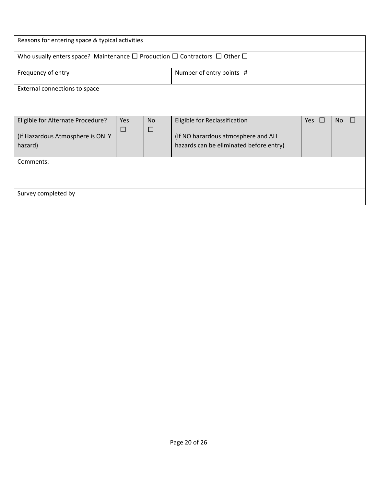| Reasons for entering space & typical activities                                                            |                 |                          |                                                                                                                 |                |     |              |
|------------------------------------------------------------------------------------------------------------|-----------------|--------------------------|-----------------------------------------------------------------------------------------------------------------|----------------|-----|--------------|
|                                                                                                            |                 |                          |                                                                                                                 |                |     |              |
| Who usually enters space? Maintenance $\square$ Production $\square$ Contractors $\square$ Other $\square$ |                 |                          |                                                                                                                 |                |     |              |
| Frequency of entry                                                                                         |                 | Number of entry points # |                                                                                                                 |                |     |              |
| External connections to space                                                                              |                 |                          |                                                                                                                 |                |     |              |
| Eligible for Alternate Procedure?<br>(if Hazardous Atmosphere is ONLY<br>hazard)                           | <b>Yes</b><br>□ | <b>No</b><br>□           | Eligible for Reclassification<br>(If NO hazardous atmosphere and ALL<br>hazards can be eliminated before entry) | Yes<br>$\perp$ | No. | $\mathbf{L}$ |
| Comments:                                                                                                  |                 |                          |                                                                                                                 |                |     |              |
| Survey completed by                                                                                        |                 |                          |                                                                                                                 |                |     |              |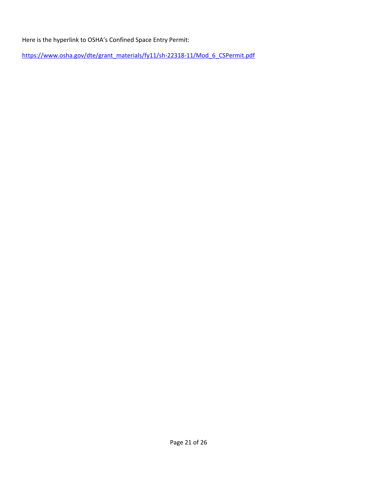Here is the hyperlink to OSHA's Confined Space Entry Permit:

[https://www.osha.gov/dte/grant\\_materials/fy11/sh-22318-11/Mod\\_6\\_CSPermit.pdf](https://www.osha.gov/dte/grant_materials/fy11/sh-22318-11/Mod_6_CSPermit.pdf)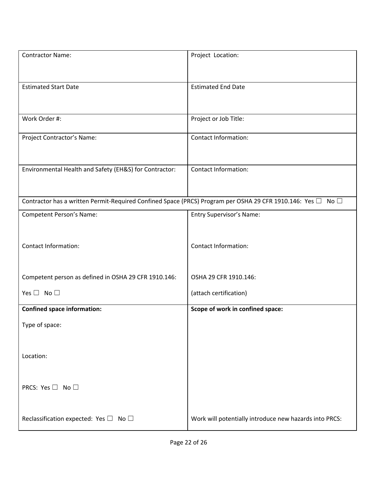| <b>Contractor Name:</b>                                                                                               | Project Location:                                      |
|-----------------------------------------------------------------------------------------------------------------------|--------------------------------------------------------|
|                                                                                                                       |                                                        |
| <b>Estimated Start Date</b>                                                                                           | <b>Estimated End Date</b>                              |
|                                                                                                                       |                                                        |
|                                                                                                                       |                                                        |
| Work Order #:                                                                                                         | Project or Job Title:                                  |
|                                                                                                                       | <b>Contact Information:</b>                            |
| Project Contractor's Name:                                                                                            |                                                        |
|                                                                                                                       |                                                        |
| Environmental Health and Safety (EH&S) for Contractor:                                                                | <b>Contact Information:</b>                            |
|                                                                                                                       |                                                        |
|                                                                                                                       |                                                        |
| Contractor has a written Permit-Required Confined Space (PRCS) Program per OSHA 29 CFR 1910.146: Yes $\Box$ No $\Box$ |                                                        |
| Competent Person's Name:                                                                                              | <b>Entry Supervisor's Name:</b>                        |
|                                                                                                                       |                                                        |
| <b>Contact Information:</b>                                                                                           | <b>Contact Information:</b>                            |
|                                                                                                                       |                                                        |
|                                                                                                                       |                                                        |
| Competent person as defined in OSHA 29 CFR 1910.146:                                                                  | OSHA 29 CFR 1910.146:                                  |
| Yes $\square$ No $\square$                                                                                            | (attach certification)                                 |
| <b>Confined space information:</b>                                                                                    | Scope of work in confined space:                       |
| Type of space:                                                                                                        |                                                        |
|                                                                                                                       |                                                        |
|                                                                                                                       |                                                        |
| Location:                                                                                                             |                                                        |
|                                                                                                                       |                                                        |
|                                                                                                                       |                                                        |
| PRCS: Yes □ No □                                                                                                      |                                                        |
|                                                                                                                       |                                                        |
| Reclassification expected: Yes $\square$ No $\square$                                                                 | Work will potentially introduce new hazards into PRCS: |
|                                                                                                                       |                                                        |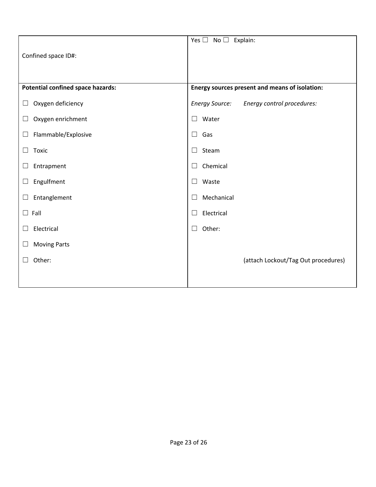|                                   | Yes $\square$<br>$No \Box$ Explain:                 |
|-----------------------------------|-----------------------------------------------------|
| Confined space ID#:               |                                                     |
|                                   |                                                     |
|                                   |                                                     |
| Potential confined space hazards: | Energy sources present and means of isolation:      |
| Oxygen deficiency<br>$\Box$       | <b>Energy Source:</b><br>Energy control procedures: |
| Oxygen enrichment<br>⊔            | Water<br>$\Box$                                     |
| Flammable/Explosive<br>$\Box$     | Gas<br>$\Box$                                       |
| Toxic<br>$\Box$                   | Steam<br>$\Box$                                     |
| Entrapment<br>$\Box$              | Chemical<br>$\Box$                                  |
| Engulfment<br>$\sqcup$            | Waste<br>$\perp$                                    |
| Entanglement<br>$\Box$            | Mechanical<br>$\Box$                                |
| $\Box$ Fall                       | Electrical<br>□                                     |
| Electrical<br>$\mathsf{L}$        | Other:<br>$\perp$                                   |
| <b>Moving Parts</b><br>$\Box$     |                                                     |
| Other:<br>$\mathcal{L}$           | (attach Lockout/Tag Out procedures)                 |
|                                   |                                                     |
|                                   |                                                     |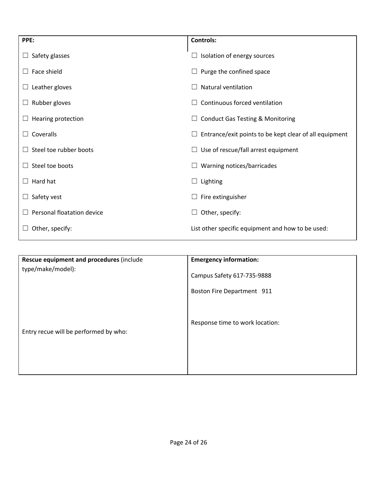| PPE:                                  | <b>Controls:</b>                                       |
|---------------------------------------|--------------------------------------------------------|
| Safety glasses<br>ப                   | Isolation of energy sources                            |
| Face shield<br>⊔                      | Purge the confined space                               |
| Leather gloves<br>ப                   | Natural ventilation                                    |
| Rubber gloves                         | Continuous forced ventilation                          |
| Hearing protection<br>⊔               | <b>Conduct Gas Testing &amp; Monitoring</b>            |
| Coveralls<br>$\overline{\phantom{a}}$ | Entrance/exit points to be kept clear of all equipment |
| Steel toe rubber boots                | Use of rescue/fall arrest equipment                    |
| Steel toe boots<br>$\perp$            | Warning notices/barricades                             |
| Hard hat<br>ப                         | Lighting                                               |
| Safety vest                           | Fire extinguisher                                      |
| Personal floatation device            | Other, specify:                                        |
| Other, specify:<br>ப                  | List other specific equipment and how to be used:      |

| Rescue equipment and procedures (include | <b>Emergency information:</b>   |
|------------------------------------------|---------------------------------|
| type/make/model):                        | Campus Safety 617-735-9888      |
|                                          | Boston Fire Department 911      |
| Entry recue will be performed by who:    | Response time to work location: |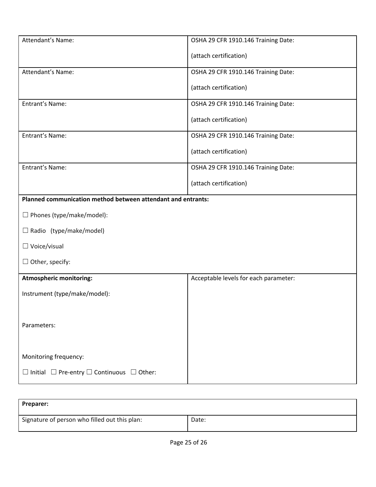| Attendant's Name:                                               | OSHA 29 CFR 1910.146 Training Date:   |
|-----------------------------------------------------------------|---------------------------------------|
|                                                                 | (attach certification)                |
| Attendant's Name:                                               | OSHA 29 CFR 1910.146 Training Date:   |
|                                                                 | (attach certification)                |
| <b>Entrant's Name:</b>                                          | OSHA 29 CFR 1910.146 Training Date:   |
|                                                                 | (attach certification)                |
| <b>Entrant's Name:</b>                                          | OSHA 29 CFR 1910.146 Training Date:   |
|                                                                 | (attach certification)                |
| <b>Entrant's Name:</b>                                          | OSHA 29 CFR 1910.146 Training Date:   |
|                                                                 | (attach certification)                |
| Planned communication method between attendant and entrants:    |                                       |
| $\Box$ Phones (type/make/model):                                |                                       |
| $\Box$ Radio (type/make/model)                                  |                                       |
| $\Box$ Voice/visual                                             |                                       |
| $\Box$ Other, specify:                                          |                                       |
| <b>Atmospheric monitoring:</b>                                  | Acceptable levels for each parameter: |
| Instrument (type/make/model):                                   |                                       |
|                                                                 |                                       |
| Parameters:                                                     |                                       |
|                                                                 |                                       |
| Monitoring frequency:                                           |                                       |
| $\Box$ Initial $\Box$ Pre-entry $\Box$ Continuous $\Box$ Other: |                                       |
|                                                                 |                                       |

| <b>Preparer:</b>                              |       |
|-----------------------------------------------|-------|
| Signature of person who filled out this plan: | Date: |